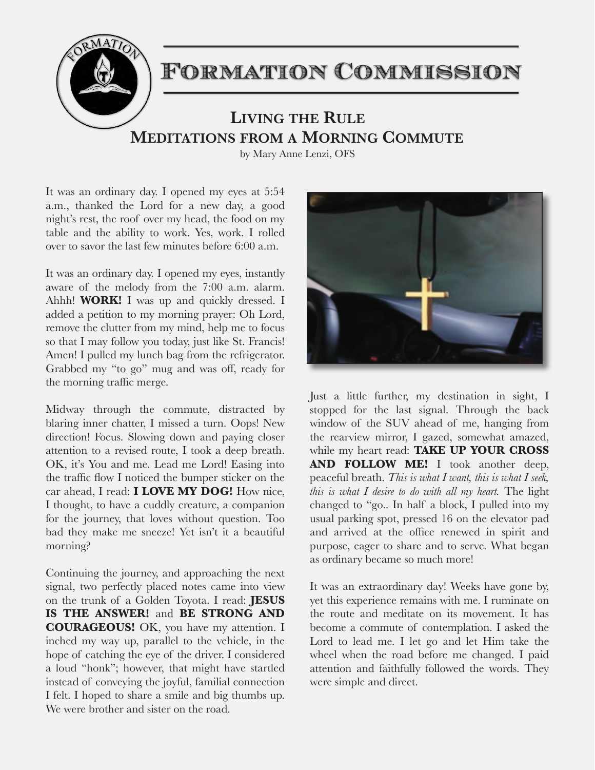

It was an ordinary day. I opened my eyes at 5:54 a.m., thanked the Lord for a new day, a good night's rest, the roof over my head, the food on my table and the ability to work. Yes, work. I rolled over to savor the last few minutes before 6:00 a.m.

It was an ordinary day. I opened my eyes, instantly aware of the melody from the 7:00 a.m. alarm. Ahhh! **WORK!** I was up and quickly dressed. I added a petition to my morning prayer: Oh Lord, remove the clutter from my mind, help me to focus so that I may follow you today, just like St. Francis! Amen! I pulled my lunch bag from the refrigerator. Grabbed my "to go" mug and was off, ready for the morning traffic merge.

Midway through the commute, distracted by blaring inner chatter, I missed a turn. Oops! New direction! Focus. Slowing down and paying closer attention to a revised route, I took a deep breath. OK, it's You and me. Lead me Lord! Easing into the traffic flow I noticed the bumper sticker on the car ahead, I read: **I LOVE MY DOG!** How nice, I thought, to have a cuddly creature, a companion for the journey, that loves without question. Too bad they make me sneeze! Yet isn't it a beautiful morning?

Continuing the journey, and approaching the next signal, two perfectly placed notes came into view on the trunk of a Golden Toyota. I read: **JESUS IS THE ANSWER!** and **BE STRONG AND COURAGEOUS!** OK, you have my attention. I inched my way up, parallel to the vehicle, in the hope of catching the eye of the driver. I considered a loud "honk"; however, that might have startled instead of conveying the joyful, familial connection I felt. I hoped to share a smile and big thumbs up. We were brother and sister on the road.



Just a little further, my destination in sight, I stopped for the last signal. Through the back window of the SUV ahead of me, hanging from the rearview mirror, I gazed, somewhat amazed, while my heart read: **TAKE UP YOUR CROSS AND FOLLOW ME!** I took another deep, peaceful breath. *This is what I want, this is what I seek, this is what I desire to do with all my heart.* The light changed to "go.. In half a block, I pulled into my usual parking spot, pressed 16 on the elevator pad and arrived at the office renewed in spirit and purpose, eager to share and to serve. What began as ordinary became so much more!

It was an extraordinary day! Weeks have gone by, yet this experience remains with me. I ruminate on the route and meditate on its movement. It has become a commute of contemplation. I asked the Lord to lead me. I let go and let Him take the wheel when the road before me changed. I paid attention and faithfully followed the words. They were simple and direct.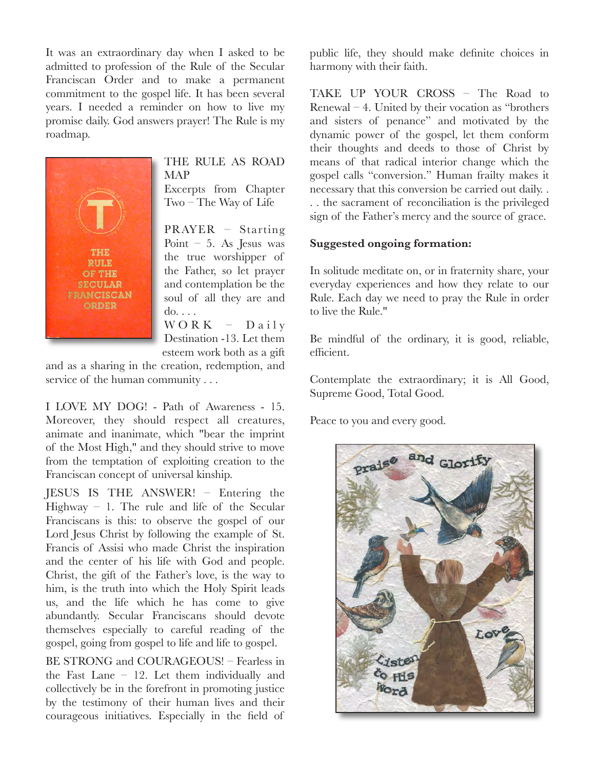It was an extraordinary day when I asked to be admitted to profession of the Rule of the Secular Franciscan Order and to make a permanent commitment to the gospel life. It has been several years. I needed a reminder on how to live my promise daily. God answers prayer! The Rule is my roadmap.



### THE RULE AS ROAD MAP

Excerpts from Chapter Two – The Way of Life

PRAYER – Starting Point  $-5$ . As Jesus was the true worshipper of the Father, so let prayer and contemplation be the soul of all they are and do. . . .  $WORK - Daily$ 

Destination -13. Let them esteem work both as a gift

and as a sharing in the creation, redemption, and service of the human community . . .

I LOVE MY DOG! - Path of Awareness - 15. Moreover, they should respect all creatures, animate and inanimate, which "bear the imprint of the Most High," and they should strive to move from the temptation of exploiting creation to the Franciscan concept of universal kinship.

JESUS IS THE ANSWER! – Entering the Highway – 1. The rule and life of the Secular Franciscans is this: to observe the gospel of our Lord Jesus Christ by following the example of St. Francis of Assisi who made Christ the inspiration and the center of his life with God and people. Christ, the gift of the Father's love, is the way to him, is the truth into which the Holy Spirit leads us, and the life which he has come to give abundantly. Secular Franciscans should devote themselves especially to careful reading of the gospel, going from gospel to life and life to gospel.

BE STRONG and COURAGEOUS! – Fearless in the Fast Lane – 12. Let them individually and collectively be in the forefront in promoting justice by the testimony of their human lives and their courageous initiatives. Especially in the field of

public life, they should make definite choices in harmony with their faith.

TAKE UP YOUR CROSS – The Road to Renewal – 4. United by their vocation as "brothers and sisters of penance" and motivated by the dynamic power of the gospel, let them conform their thoughts and deeds to those of Christ by means of that radical interior change which the gospel calls "conversion." Human frailty makes it necessary that this conversion be carried out daily. . . . the sacrament of reconciliation is the privileged sign of the Father's mercy and the source of grace.

#### **Suggested ongoing formation:**

In solitude meditate on, or in fraternity share, your everyday experiences and how they relate to our Rule. Each day we need to pray the Rule in order to live the Rule."

Be mindful of the ordinary, it is good, reliable, efficient.

Contemplate the extraordinary; it is All Good, Supreme Good, Total Good.

Peace to you and every good.

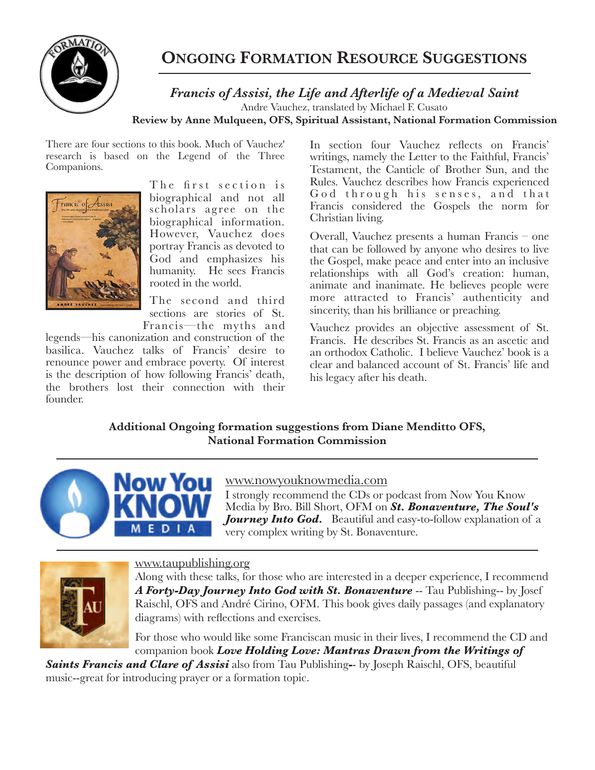

# **ONGOING FORMATION RESOURCE SUGGESTIONS**

*Francis of Assisi, the Life and Afterlife of a Medieval Saint*  Andre Vauchez, translated by Michael F. Cusato **Review by Anne Mulqueen, OFS, Spiritual Assistant, National Formation Commission**

There are four sections to this book. Much of Vauchez' research is based on the Legend of the Three Companions.



The first section is biographical and not all scholars agree on the biographical information. However, Vauchez does portray Francis as devoted to God and emphasizes his humanity. He sees Francis rooted in the world.

The second and third sections are stories of St. Francis—the myths and

legends—his canonization and construction of the basilica. Vauchez talks of Francis' desire to renounce power and embrace poverty. Of interest is the description of how following Francis' death, the brothers lost their connection with their founder.

In section four Vauchez reflects on Francis' writings, namely the Letter to the Faithful, Francis' Testament, the Canticle of Brother Sun, and the Rules. Vauchez describes how Francis experienced God through his senses, and that Francis considered the Gospels the norm for Christian living.

Overall, Vauchez presents a human Francis – one that can be followed by anyone who desires to live the Gospel, make peace and enter into an inclusive relationships with all God's creation: human, animate and inanimate. He believes people were more attracted to Francis' authenticity and sincerity, than his brilliance or preaching.

Vauchez provides an objective assessment of St. Francis. He describes St. Francis as an ascetic and an orthodox Catholic. I believe Vauchez' book is a clear and balanced account of St. Francis' life and his legacy after his death.

**Additional Ongoing formation suggestions from Diane Menditto OFS, National Formation Commission** 



### www.nowyouknowmedia.com

I strongly recommend the CDs or podcast from Now You Know Media by Bro. Bill Short, OFM on *St. Bonaventure, The Soul's Journey Into God.* Beautiful and easy-to-follow explanation of a very complex writing by St. Bonaventure.



#### www.taupublishing.org

Along with these talks, for those who are interested in a deeper experience, I recommend *A Forty-Day Journey Into God with St. Bonaventure* -- Tau Publishing-- by Josef Raischl, OFS and André Cirino, OFM. This book gives daily passages (and explanatory diagrams) with reflections and exercises.

For those who would like some Franciscan music in their lives, I recommend the CD and companion book *Love Holding Love: Mantras Drawn from the Writings of* 

*Saints Francis and Clare of Assisi* also from Tau Publishing**-**- by Joseph Raischl, OFS, beautiful music--great for introducing prayer or a formation topic.